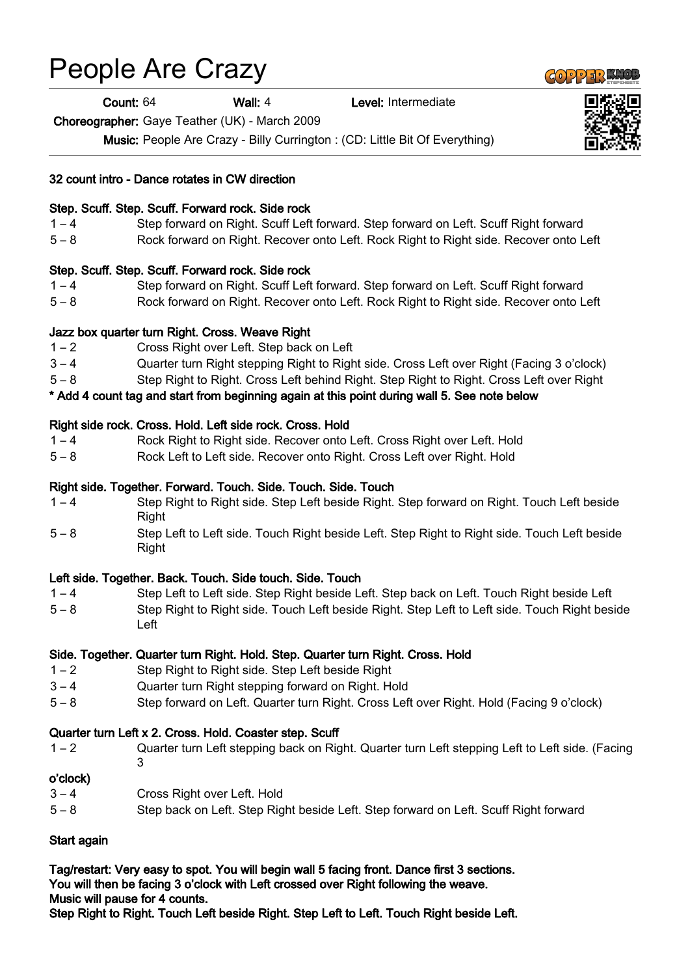# People Are Crazy

Count: 64 Wall: 4 Level: Intermediate

Choreographer: Gaye Teather (UK) - March 2009

Music: People Are Crazy - Billy Currington : (CD: Little Bit Of Everything)

#### 32 count intro - Dance rotates in CW direction

#### Step. Scuff. Step. Scuff. Forward rock. Side rock

- 1 4 Step forward on Right. Scuff Left forward. Step forward on Left. Scuff Right forward
- 5 8 Rock forward on Right. Recover onto Left. Rock Right to Right side. Recover onto Left

#### Step. Scuff. Step. Scuff. Forward rock. Side rock

- 1 4 Step forward on Right. Scuff Left forward. Step forward on Left. Scuff Right forward
- 5 8 Rock forward on Right. Recover onto Left. Rock Right to Right side. Recover onto Left

#### Jazz box quarter turn Right. Cross. Weave Right

- 1 2 Cross Right over Left. Step back on Left
- 3 4 Quarter turn Right stepping Right to Right side. Cross Left over Right (Facing 3 o'clock)
- 5 8 Step Right to Right. Cross Left behind Right. Step Right to Right. Cross Left over Right

\* Add 4 count tag and start from beginning again at this point during wall 5. See note below

#### Right side rock. Cross. Hold. Left side rock. Cross. Hold

- 1 4 Rock Right to Right side. Recover onto Left. Cross Right over Left. Hold
- 5 8 Rock Left to Left side. Recover onto Right. Cross Left over Right. Hold

### Right side. Together. Forward. Touch. Side. Touch. Side. Touch

- 1 4 Step Right to Right side. Step Left beside Right. Step forward on Right. Touch Left beside Right
- 5 8 Step Left to Left side. Touch Right beside Left. Step Right to Right side. Touch Left beside Right

# Left side. Together. Back. Touch. Side touch. Side. Touch

- 1 4 Step Left to Left side. Step Right beside Left. Step back on Left. Touch Right beside Left
- 5 8 Step Right to Right side. Touch Left beside Right. Step Left to Left side. Touch Right beside Left

# Side. Together. Quarter turn Right. Hold. Step. Quarter turn Right. Cross. Hold

- 1 2 Step Right to Right side. Step Left beside Right
- 3 4 Quarter turn Right stepping forward on Right. Hold
- 5 8 Step forward on Left. Quarter turn Right. Cross Left over Right. Hold (Facing 9 o'clock)

# Quarter turn Left x 2. Cross. Hold. Coaster step. Scuff

1 – 2 Quarter turn Left stepping back on Right. Quarter turn Left stepping Left to Left side. (Facing 3

#### o'clock)

- 3 4 Cross Right over Left. Hold
- 5 8 Step back on Left. Step Right beside Left. Step forward on Left. Scuff Right forward

# Start again

Tag/restart: Very easy to spot. You will begin wall 5 facing front. Dance first 3 sections. You will then be facing 3 o'clock with Left crossed over Right following the weave. Music will pause for 4 counts.

Step Right to Right. Touch Left beside Right. Step Left to Left. Touch Right beside Left.